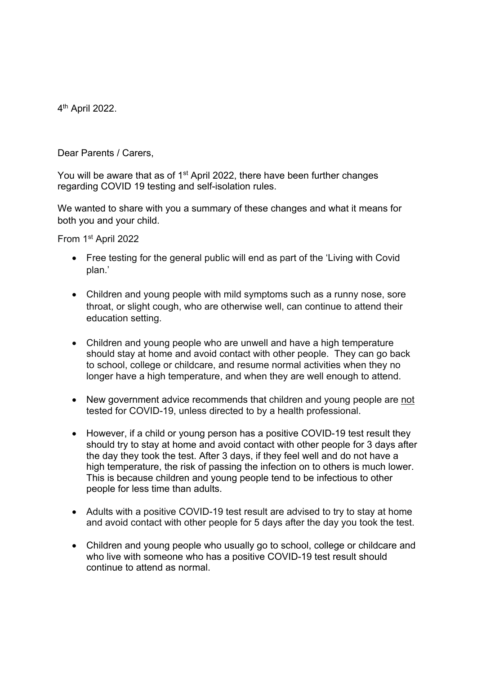4th April 2022.

Dear Parents / Carers,

You will be aware that as of 1<sup>st</sup> April 2022, there have been further changes regarding COVID 19 testing and self-isolation rules.

We wanted to share with you a summary of these changes and what it means for both you and your child.

From 1st April 2022

- Free testing for the general public will end as part of the 'Living with Covid plan.'
- Children and young people with mild symptoms such as a runny nose, sore throat, or slight cough, who are otherwise well, can continue to attend their education setting.
- Children and young people who are unwell and have a high temperature should stay at home and avoid contact with other people. They can go back to school, college or childcare, and resume normal activities when they no longer have a high temperature, and when they are well enough to attend.
- New government advice recommends that children and young people are not tested for COVID-19, unless directed to by a health professional.
- However, if a child or young person has a positive COVID-19 test result they should try to stay at home and avoid contact with other people for 3 days after the day they took the test. After 3 days, if they feel well and do not have a high temperature, the risk of passing the infection on to others is much lower. This is because children and young people tend to be infectious to other people for less time than adults.
- Adults with a positive COVID-19 test result are advised to try to stay at home and avoid contact with other people for 5 days after the day you took the test.
- Children and young people who usually go to school, college or childcare and who live with someone who has a positive COVID-19 test result should continue to attend as normal.